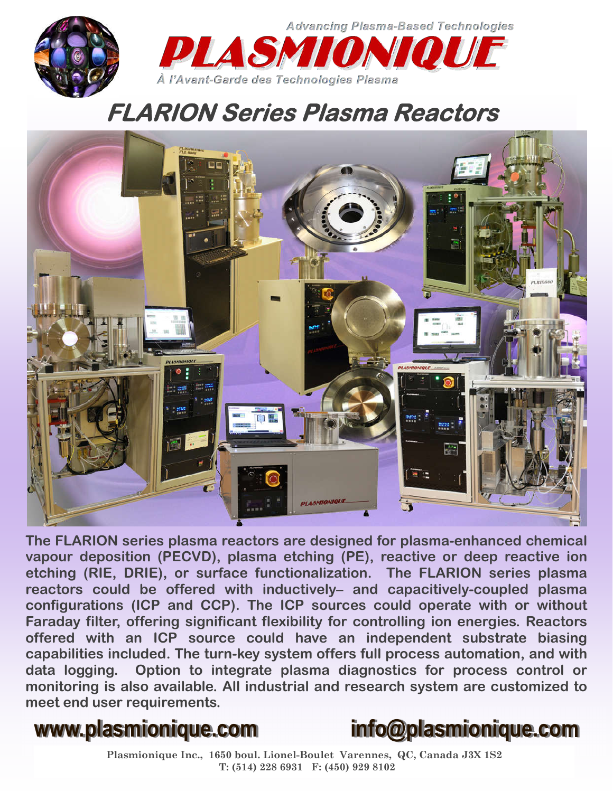

**Advancing Plasma-Based Technologies** DI A SMI À l'Avant-Garde des Technologies Plasma

## **FLARION Series Plasma Reactors**



**The FLARION series plasma reactors are designed for plasma-enhanced chemical vapour deposition (PECVD), plasma etching (PE), reactive or deep reactive ion etching (RIE, DRIE), or surface functionalization. The FLARION series plasma reactors could be offered with inductively– and capacitively-coupled plasma configurations (ICP and CCP). The ICP sources could operate with or without Faraday filter, offering significant flexibility for controlling ion energies. Reactors offered with an ICP source could have an independent substrate biasing capabilities included. The turn-key system offers full process automation, and with data logging. Option to integrate plasma diagnostics for process control or monitoring is also available. All industrial and research system are customized to meet end user requirements.**



**Plasmionique Inc., 1650 boul. Lionel-Boulet Varennes, QC, Canada J3X 1S2 T: (514) 228 6931 F: (450) 929 8102**